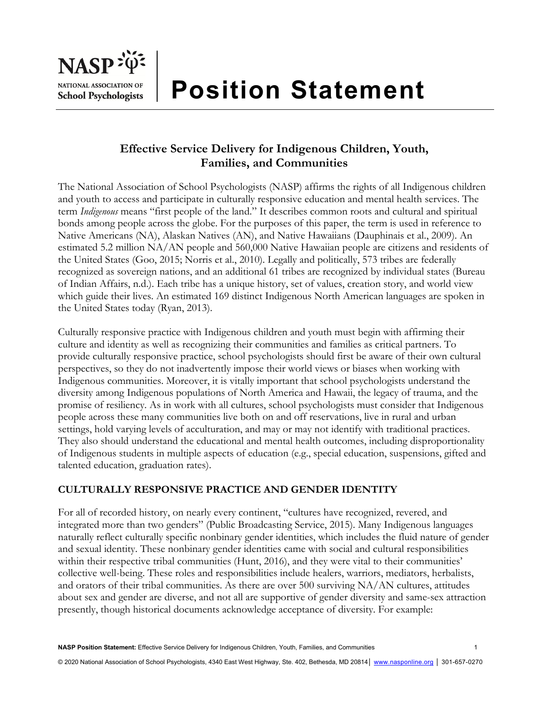

# **Position Statement**

## **Effective Service Delivery for Indigenous Children, Youth, Families, and Communities**

The National Association of School Psychologists (NASP) affirms the rights of all Indigenous children and youth to access and participate in culturally responsive education and mental health services. The term *Indigenous* means "first people of the land." It describes common roots and cultural and spiritual bonds among people across the globe. For the purposes of this paper, the term is used in reference to Native Americans (NA), Alaskan Natives (AN), and Native Hawaiians (Dauphinais et al., 2009). An estimated 5.2 million NA/AN people and 560,000 Native Hawaiian people are citizens and residents of the United States (Goo, 2015; Norris et al., 2010). Legally and politically, 573 tribes are federally recognized as sovereign nations, and an additional 61 tribes are recognized by individual states (Bureau of Indian Affairs, n.d.). Each tribe has a unique history, set of values, creation story, and world view which guide their lives. An estimated 169 distinct Indigenous North American languages are spoken in the United States today (Ryan, 2013).

Culturally responsive practice with Indigenous children and youth must begin with affirming their culture and identity as well as recognizing their communities and families as critical partners. To provide culturally responsive practice, school psychologists should first be aware of their own cultural perspectives, so they do not inadvertently impose their world views or biases when working with Indigenous communities. Moreover, it is vitally important that school psychologists understand the diversity among Indigenous populations of North America and Hawaii, the legacy of trauma, and the promise of resiliency. As in work with all cultures, school psychologists must consider that Indigenous people across these many communities live both on and off reservations, live in rural and urban settings, hold varying levels of acculturation, and may or may not identify with traditional practices. They also should understand the educational and mental health outcomes, including disproportionality of Indigenous students in multiple aspects of education (e.g., special education, suspensions, gifted and talented education, graduation rates).

## **CULTURALLY RESPONSIVE PRACTICE AND GENDER IDENTITY**

For all of recorded history, on nearly every continent, "cultures have recognized, revered, and integrated more than two genders" (Public Broadcasting Service, 2015). Many Indigenous languages naturally reflect culturally specific nonbinary gender identities, which includes the fluid nature of gender and sexual identity. These nonbinary gender identities came with social and cultural responsibilities within their respective tribal communities (Hunt, 2016), and they were vital to their communities' collective well-being. These roles and responsibilities include healers, warriors, mediators, herbalists, and orators of their tribal communities. As there are over 500 surviving NA/AN cultures, attitudes about sex and gender are diverse, and not all are supportive of gender diversity and same-sex attraction presently, though historical documents acknowledge acceptance of diversity. For example: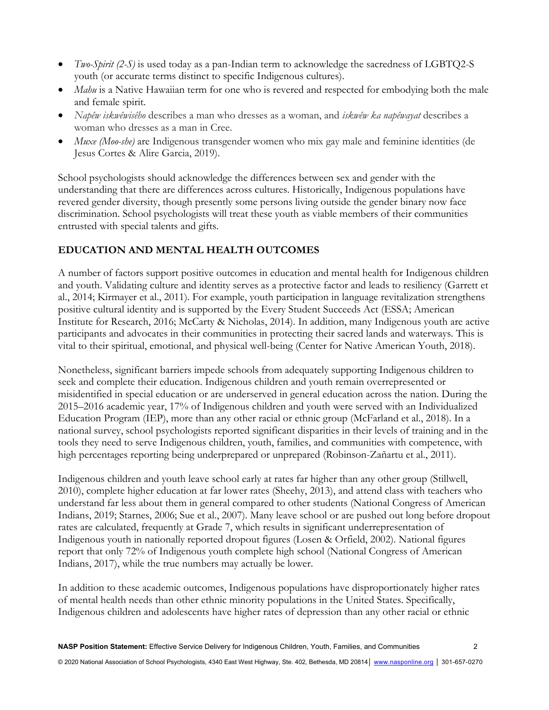- *Two-Spirit (2-S)* is used today as a pan-Indian term to acknowledge the sacredness of LGBTQ2-S youth (or accurate terms distinct to specific Indigenous cultures).
- *Mahu* is a Native Hawaiian term for one who is revered and respected for embodying both the male and female spirit.
- *Napêw iskwêwisêho* describes a man who dresses as a woman, and *iskwêw ka napêwayat* describes a woman who dresses as a man in Cree.
- *Muxe (Moo-she)* are Indigenous transgender women who mix gay male and feminine identities (de Jesus Cortes & Alire Garcia, 2019).

School psychologists should acknowledge the differences between sex and gender with the understanding that there are differences across cultures. Historically, Indigenous populations have revered gender diversity, though presently some persons living outside the gender binary now face discrimination. School psychologists will treat these youth as viable members of their communities entrusted with special talents and gifts.

## **EDUCATION AND MENTAL HEALTH OUTCOMES**

A number of factors support positive outcomes in education and mental health for Indigenous children and youth. Validating culture and identity serves as a protective factor and leads to resiliency (Garrett et al., 2014; Kirmayer et al., 2011). For example, youth participation in language revitalization strengthens positive cultural identity and is supported by the Every Student Succeeds Act (ESSA; American Institute for Research, 2016; McCarty & Nicholas, 2014). In addition, many Indigenous youth are active participants and advocates in their communities in protecting their sacred lands and waterways. This is vital to their spiritual, emotional, and physical well-being (Center for Native American Youth, 2018).

Nonetheless, significant barriers impede schools from adequately supporting Indigenous children to seek and complete their education. Indigenous children and youth remain overrepresented or misidentified in special education or are underserved in general education across the nation. During the 2015–2016 academic year, 17% of Indigenous children and youth were served with an Individualized Education Program (IEP), more than any other racial or ethnic group (McFarland et al., 2018). In a national survey, school psychologists reported significant disparities in their levels of training and in the tools they need to serve Indigenous children, youth, families, and communities with competence, with high percentages reporting being underprepared or unprepared (Robinson-Zañartu et al., 2011).

Indigenous children and youth leave school early at rates far higher than any other group (Stillwell, 2010), complete higher education at far lower rates (Sheehy, 2013), and attend class with teachers who understand far less about them in general compared to other students (National Congress of American Indians, 2019; Starnes, 2006; Sue et al., 2007). Many leave school or are pushed out long before dropout rates are calculated, frequently at Grade 7, which results in significant underrepresentation of Indigenous youth in nationally reported dropout figures (Losen & Orfield, 2002). National figures report that only 72% of Indigenous youth complete high school (National Congress of American Indians, 2017), while the true numbers may actually be lower.

In addition to these academic outcomes, Indigenous populations have disproportionately higher rates of mental health needs than other ethnic minority populations in the United States. Specifically, Indigenous children and adolescents have higher rates of depression than any other racial or ethnic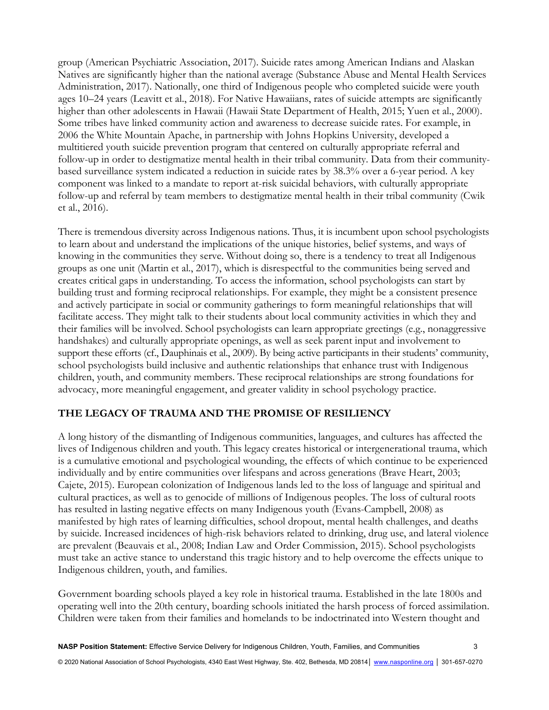group (American Psychiatric Association, 2017). Suicide rates among American Indians and Alaskan Natives are significantly higher than the national average (Substance Abuse and Mental Health Services Administration, 2017). Nationally, one third of Indigenous people who completed suicide were youth ages 10–24 years (Leavitt et al., 2018). For Native Hawaiians, rates of suicide attempts are significantly higher than other adolescents in Hawaii (Hawaii State Department of Health, 2015; Yuen et al., 2000). Some tribes have linked community action and awareness to decrease suicide rates. For example, in 2006 the White Mountain Apache, in partnership with Johns Hopkins University, developed a multitiered youth suicide prevention program that centered on culturally appropriate referral and follow-up in order to destigmatize mental health in their tribal community. Data from their communitybased surveillance system indicated a reduction in suicide rates by 38.3% over a 6-year period. A key component was linked to a mandate to report at-risk suicidal behaviors, with culturally appropriate follow-up and referral by team members to destigmatize mental health in their tribal community (Cwik et al., 2016).

There is tremendous diversity across Indigenous nations. Thus, it is incumbent upon school psychologists to learn about and understand the implications of the unique histories, belief systems, and ways of knowing in the communities they serve. Without doing so, there is a tendency to treat all Indigenous groups as one unit (Martin et al., 2017), which is disrespectful to the communities being served and creates critical gaps in understanding. To access the information, school psychologists can start by building trust and forming reciprocal relationships. For example, they might be a consistent presence and actively participate in social or community gatherings to form meaningful relationships that will facilitate access. They might talk to their students about local community activities in which they and their families will be involved. School psychologists can learn appropriate greetings (e.g., nonaggressive handshakes) and culturally appropriate openings, as well as seek parent input and involvement to support these efforts (cf., Dauphinais et al., 2009). By being active participants in their students' community, school psychologists build inclusive and authentic relationships that enhance trust with Indigenous children, youth, and community members. These reciprocal relationships are strong foundations for advocacy, more meaningful engagement, and greater validity in school psychology practice.

#### **THE LEGACY OF TRAUMA AND THE PROMISE OF RESILIENCY**

A long history of the dismantling of Indigenous communities, languages, and cultures has affected the lives of Indigenous children and youth. This legacy creates historical or intergenerational trauma, which is a cumulative emotional and psychological wounding, the effects of which continue to be experienced individually and by entire communities over lifespans and across generations (Brave Heart, 2003; Cajete, 2015). European colonization of Indigenous lands led to the loss of language and spiritual and cultural practices, as well as to genocide of millions of Indigenous peoples. The loss of cultural roots has resulted in lasting negative effects on many Indigenous youth (Evans-Campbell, 2008) as manifested by high rates of learning difficulties, school dropout, mental health challenges, and deaths by suicide. Increased incidences of high-risk behaviors related to drinking, drug use, and lateral violence are prevalent (Beauvais et al., 2008; Indian Law and Order Commission, 2015). School psychologists must take an active stance to understand this tragic history and to help overcome the effects unique to Indigenous children, youth, and families.

Government boarding schools played a key role in historical trauma. Established in the late 1800s and operating well into the 20th century, boarding schools initiated the harsh process of forced assimilation. Children were taken from their families and homelands to be indoctrinated into Western thought and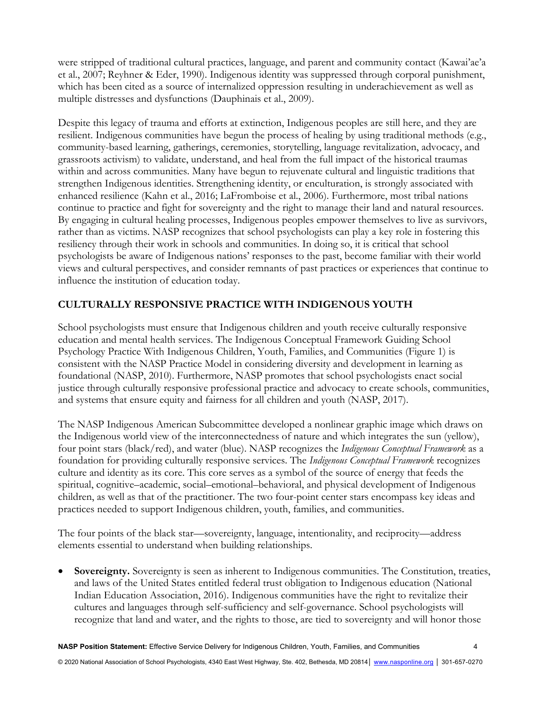were stripped of traditional cultural practices, language, and parent and community contact (Kawai'ae'a et al., 2007; Reyhner & Eder, 1990). Indigenous identity was suppressed through corporal punishment, which has been cited as a source of internalized oppression resulting in underachievement as well as multiple distresses and dysfunctions (Dauphinais et al., 2009).

Despite this legacy of trauma and efforts at extinction, Indigenous peoples are still here, and they are resilient. Indigenous communities have begun the process of healing by using traditional methods (e.g., community-based learning, gatherings, ceremonies, storytelling, language revitalization, advocacy, and grassroots activism) to validate, understand, and heal from the full impact of the historical traumas within and across communities. Many have begun to rejuvenate cultural and linguistic traditions that strengthen Indigenous identities. Strengthening identity, or enculturation, is strongly associated with enhanced resilience (Kahn et al., 2016; LaFromboise et al., 2006). Furthermore, most tribal nations continue to practice and fight for sovereignty and the right to manage their land and natural resources. By engaging in cultural healing processes, Indigenous peoples empower themselves to live as survivors, rather than as victims. NASP recognizes that school psychologists can play a key role in fostering this resiliency through their work in schools and communities. In doing so, it is critical that school psychologists be aware of Indigenous nations' responses to the past, become familiar with their world views and cultural perspectives, and consider remnants of past practices or experiences that continue to influence the institution of education today.

## **CULTURALLY RESPONSIVE PRACTICE WITH INDIGENOUS YOUTH**

School psychologists must ensure that Indigenous children and youth receive culturally responsive education and mental health services. The Indigenous Conceptual Framework Guiding School Psychology Practice With Indigenous Children, Youth, Families, and Communities (Figure 1) is consistent with the NASP Practice Model in considering diversity and development in learning as foundational (NASP, 2010). Furthermore, NASP promotes that school psychologists enact social justice through culturally responsive professional practice and advocacy to create schools, communities, and systems that ensure equity and fairness for all children and youth (NASP, 2017).

The NASP Indigenous American Subcommittee developed a nonlinear graphic image which draws on the Indigenous world view of the interconnectedness of nature and which integrates the sun (yellow), four point stars (black/red), and water (blue). NASP recognizes the *Indigenous Conceptual Framework* as a foundation for providing culturally responsive services. The *Indigenous Conceptual Framework* recognizes culture and identity as its core. This core serves as a symbol of the source of energy that feeds the spiritual, cognitive–academic, social–emotional–behavioral, and physical development of Indigenous children, as well as that of the practitioner. The two four-point center stars encompass key ideas and practices needed to support Indigenous children, youth, families, and communities.

The four points of the black star—sovereignty, language, intentionality, and reciprocity—address elements essential to understand when building relationships.

 **Sovereignty.** Sovereignty is seen as inherent to Indigenous communities. The Constitution, treaties, and laws of the United States entitled federal trust obligation to Indigenous education (National Indian Education Association, 2016). Indigenous communities have the right to revitalize their cultures and languages through self-sufficiency and self-governance. School psychologists will recognize that land and water, and the rights to those, are tied to sovereignty and will honor those

© 2020 National Association of School Psychologists, 4340 East West Highway, Ste. 402, Bethesda, MD 20814 | www.nasponline.org | 301-657-0270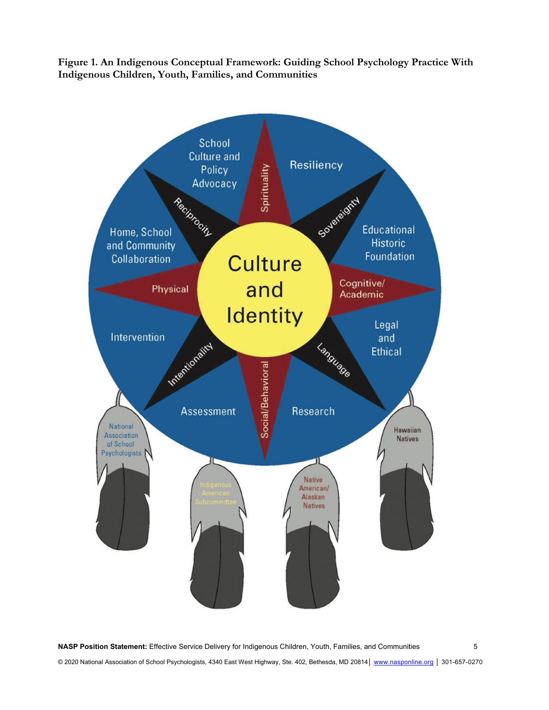**Figure 1. An Indigenous Conceptual Framework: Guiding School Psychology Practice With Indigenous Children, Youth, Families, and Communities** 



**NASP Position Statement:** Effective Service Delivery for Indigenous Children, Youth, Families, and Communities 5 © 2020 National Association of School Psychologists, 4340 East West Highway, Ste. 402, Bethesda, MD 20814 | www.nasponline.org | 301-657-0270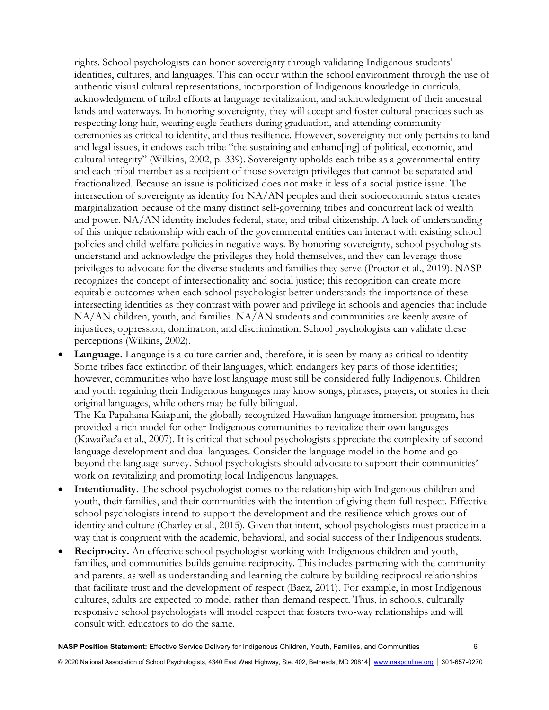rights. School psychologists can honor sovereignty through validating Indigenous students' identities, cultures, and languages. This can occur within the school environment through the use of authentic visual cultural representations, incorporation of Indigenous knowledge in curricula, acknowledgment of tribal efforts at language revitalization, and acknowledgment of their ancestral lands and waterways. In honoring sovereignty, they will accept and foster cultural practices such as respecting long hair, wearing eagle feathers during graduation, and attending community ceremonies as critical to identity, and thus resilience. However, sovereignty not only pertains to land and legal issues, it endows each tribe "the sustaining and enhanc[ing] of political, economic, and cultural integrity" (Wilkins, 2002, p. 339). Sovereignty upholds each tribe as a governmental entity and each tribal member as a recipient of those sovereign privileges that cannot be separated and fractionalized. Because an issue is politicized does not make it less of a social justice issue. The intersection of sovereignty as identity for NA/AN peoples and their socioeconomic status creates marginalization because of the many distinct self-governing tribes and concurrent lack of wealth and power. NA/AN identity includes federal, state, and tribal citizenship. A lack of understanding of this unique relationship with each of the governmental entities can interact with existing school policies and child welfare policies in negative ways. By honoring sovereignty, school psychologists understand and acknowledge the privileges they hold themselves, and they can leverage those privileges to advocate for the diverse students and families they serve (Proctor et al., 2019). NASP recognizes the concept of intersectionality and social justice; this recognition can create more equitable outcomes when each school psychologist better understands the importance of these intersecting identities as they contrast with power and privilege in schools and agencies that include NA/AN children, youth, and families. NA/AN students and communities are keenly aware of injustices, oppression, domination, and discrimination. School psychologists can validate these perceptions (Wilkins, 2002).

 **Language.** Language is a culture carrier and, therefore, it is seen by many as critical to identity. Some tribes face extinction of their languages, which endangers key parts of those identities; however, communities who have lost language must still be considered fully Indigenous. Children and youth regaining their Indigenous languages may know songs, phrases, prayers, or stories in their original languages, while others may be fully bilingual.

The Ka Papahana Kaiapuni, the globally recognized Hawaiian language immersion program, has provided a rich model for other Indigenous communities to revitalize their own languages (Kawai'ae'a et al., 2007). It is critical that school psychologists appreciate the complexity of second language development and dual languages. Consider the language model in the home and go beyond the language survey. School psychologists should advocate to support their communities' work on revitalizing and promoting local Indigenous languages.

- **Intentionality.** The school psychologist comes to the relationship with Indigenous children and youth, their families, and their communities with the intention of giving them full respect. Effective school psychologists intend to support the development and the resilience which grows out of identity and culture (Charley et al., 2015). Given that intent, school psychologists must practice in a way that is congruent with the academic, behavioral, and social success of their Indigenous students.
- **Reciprocity.** An effective school psychologist working with Indigenous children and youth, families, and communities builds genuine reciprocity. This includes partnering with the community and parents, as well as understanding and learning the culture by building reciprocal relationships that facilitate trust and the development of respect (Baez, 2011). For example, in most Indigenous cultures, adults are expected to model rather than demand respect. Thus, in schools, culturally responsive school psychologists will model respect that fosters two-way relationships and will consult with educators to do the same.

**NASP Position Statement:** Effective Service Delivery for Indigenous Children, Youth, Families, and Communities 6

© 2020 National Association of School Psychologists, 4340 East West Highway, Ste. 402, Bethesda, MD 20814│ www.nasponline.org │ 301-657-0270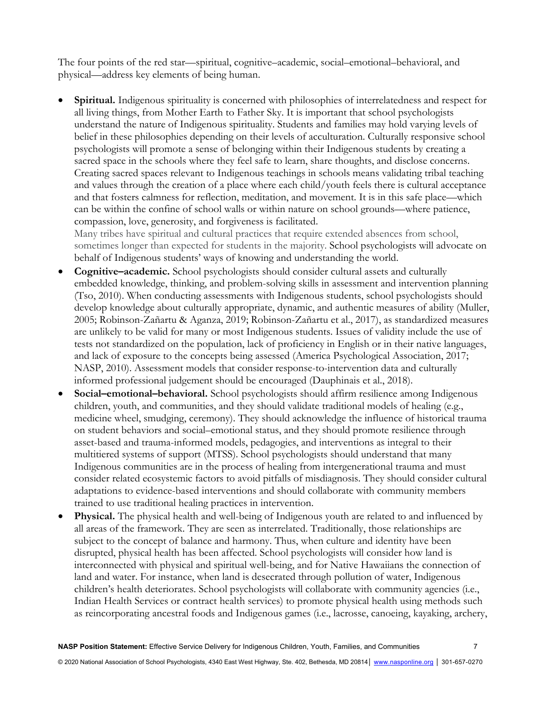The four points of the red star—spiritual, cognitive–academic, social–emotional–behavioral, and physical—address key elements of being human.

 **Spiritual.** Indigenous spirituality is concerned with philosophies of interrelatedness and respect for all living things, from Mother Earth to Father Sky. It is important that school psychologists understand the nature of Indigenous spirituality. Students and families may hold varying levels of belief in these philosophies depending on their levels of acculturation. Culturally responsive school psychologists will promote a sense of belonging within their Indigenous students by creating a sacred space in the schools where they feel safe to learn, share thoughts, and disclose concerns. Creating sacred spaces relevant to Indigenous teachings in schools means validating tribal teaching and values through the creation of a place where each child/youth feels there is cultural acceptance and that fosters calmness for reflection, meditation, and movement. It is in this safe place—which can be within the confine of school walls or within nature on school grounds—where patience, compassion, love, generosity, and forgiveness is facilitated.

Many tribes have spiritual and cultural practices that require extended absences from school, sometimes longer than expected for students in the majority. School psychologists will advocate on behalf of Indigenous students' ways of knowing and understanding the world.

- **Cognitive–academic.** School psychologists should consider cultural assets and culturally embedded knowledge, thinking, and problem-solving skills in assessment and intervention planning (Tso, 2010). When conducting assessments with Indigenous students, school psychologists should develop knowledge about culturally appropriate, dynamic, and authentic measures of ability (Muller, 2005; Robinson-Zañartu & Aganza, 2019; Robinson-Zañartu et al., 2017), as standardized measures are unlikely to be valid for many or most Indigenous students. Issues of validity include the use of tests not standardized on the population, lack of proficiency in English or in their native languages, and lack of exposure to the concepts being assessed (America Psychological Association, 2017; NASP, 2010). Assessment models that consider response-to-intervention data and culturally informed professional judgement should be encouraged (Dauphinais et al., 2018).
- **Social–emotional–behavioral.** School psychologists should affirm resilience among Indigenous children, youth, and communities, and they should validate traditional models of healing (e.g., medicine wheel, smudging, ceremony). They should acknowledge the influence of historical trauma on student behaviors and social–emotional status, and they should promote resilience through asset-based and trauma-informed models, pedagogies, and interventions as integral to their multitiered systems of support (MTSS). School psychologists should understand that many Indigenous communities are in the process of healing from intergenerational trauma and must consider related ecosystemic factors to avoid pitfalls of misdiagnosis. They should consider cultural adaptations to evidence-based interventions and should collaborate with community members trained to use traditional healing practices in intervention.
- **Physical.** The physical health and well-being of Indigenous youth are related to and influenced by all areas of the framework. They are seen as interrelated. Traditionally, those relationships are subject to the concept of balance and harmony. Thus, when culture and identity have been disrupted, physical health has been affected. School psychologists will consider how land is interconnected with physical and spiritual well-being, and for Native Hawaiians the connection of land and water. For instance, when land is desecrated through pollution of water, Indigenous children's health deteriorates. School psychologists will collaborate with community agencies (i.e., Indian Health Services or contract health services) to promote physical health using methods such as reincorporating ancestral foods and Indigenous games (i.e., lacrosse, canoeing, kayaking, archery,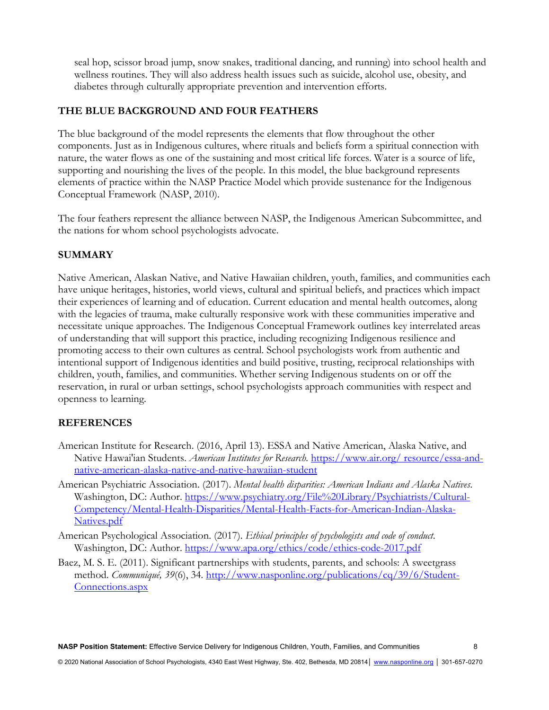seal hop, scissor broad jump, snow snakes, traditional dancing, and running) into school health and wellness routines. They will also address health issues such as suicide, alcohol use, obesity, and diabetes through culturally appropriate prevention and intervention efforts.

#### **THE BLUE BACKGROUND AND FOUR FEATHERS**

The blue background of the model represents the elements that flow throughout the other components. Just as in Indigenous cultures, where rituals and beliefs form a spiritual connection with nature, the water flows as one of the sustaining and most critical life forces. Water is a source of life, supporting and nourishing the lives of the people. In this model, the blue background represents elements of practice within the NASP Practice Model which provide sustenance for the Indigenous Conceptual Framework (NASP, 2010).

The four feathers represent the alliance between NASP, the Indigenous American Subcommittee, and the nations for whom school psychologists advocate.

#### **SUMMARY**

Native American, Alaskan Native, and Native Hawaiian children, youth, families, and communities each have unique heritages, histories, world views, cultural and spiritual beliefs, and practices which impact their experiences of learning and of education. Current education and mental health outcomes, along with the legacies of trauma, make culturally responsive work with these communities imperative and necessitate unique approaches. The Indigenous Conceptual Framework outlines key interrelated areas of understanding that will support this practice, including recognizing Indigenous resilience and promoting access to their own cultures as central. School psychologists work from authentic and intentional support of Indigenous identities and build positive, trusting, reciprocal relationships with children, youth, families, and communities. Whether serving Indigenous students on or off the reservation, in rural or urban settings, school psychologists approach communities with respect and openness to learning.

#### **REFERENCES**

- American Institute for Research. (2016, April 13). ESSA and Native American, Alaska Native, and Native Hawai'ian Students. *American Institutes for Research.* https://www.air.org/ resource/essa-andnative-american-alaska-native-and-native-hawaiian-student
- American Psychiatric Association. (2017). *Mental health disparities: American Indians and Alaska Natives*. Washington, DC: Author. https://www.psychiatry.org/File%20Library/Psychiatrists/Cultural-Competency/Mental-Health-Disparities/Mental-Health-Facts-for-American-Indian-Alaska-Natives.pdf
- American Psychological Association. (2017). *Ethical principles of psychologists and code of conduct*. Washington, DC: Author. https://www.apa.org/ethics/code/ethics-code-2017.pdf
- Baez, M. S. E. (2011). Significant partnerships with students, parents, and schools: A sweetgrass method. *Communiqué, 39*(6), 34*.* http://www.nasponline.org/publications/cq/39/6/Student-Connections.aspx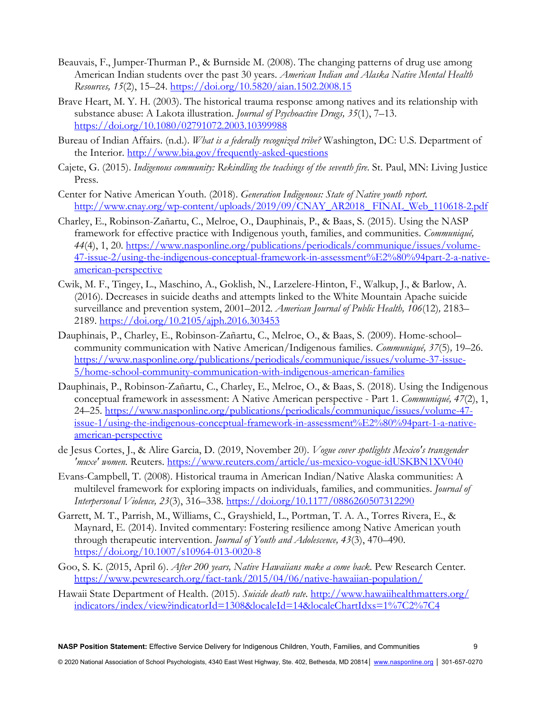- Beauvais, F., Jumper-Thurman P., & Burnside M. (2008). The changing patterns of drug use among American Indian students over the past 30 years. *American Indian and Alaska Native Mental Health Resources, 15*(2), 15–24. https://doi.org/10.5820/aian.1502.2008.15
- Brave Heart, M. Y. H. (2003). The historical trauma response among natives and its relationship with substance abuse: A Lakota illustration. *Journal of Psychoactive Drugs, 35*(1), 7–13. https://doi.org/10.1080/02791072.2003.10399988
- Bureau of Indian Affairs. (n.d.). *What is a federally recognized tribe?* Washington, DC: U.S. Department of the Interior. http://www.bia.gov/frequently-asked-questions
- Cajete, G. (2015). *Indigenous community: Rekindling the teachings of the seventh fire*. St. Paul, MN: Living Justice Press.
- Center for Native American Youth. (2018). *Generation Indigenous: State of Native youth report.*  http://www.cnay.org/wp-content/uploads/2019/09/CNAY\_AR2018\_ FINAL\_Web\_110618-2.pdf
- Charley, E., Robinson-Zañartu, C., Melroe, O., Dauphinais, P., & Baas, S. (2015). Using the NASP framework for effective practice with Indigenous youth, families, and communities. *Communiqué, 44*(4), 1, 20. https://www.nasponline.org/publications/periodicals/communique/issues/volume-47-issue-2/using-the-indigenous-conceptual-framework-in-assessment%E2%80%94part-2-a-nativeamerican-perspective
- Cwik, M. F., Tingey, L., Maschino, A., Goklish, N., Larzelere-Hinton, F., Walkup, J., & Barlow, A. (2016). Decreases in suicide deaths and attempts linked to the White Mountain Apache suicide surveillance and prevention system, 2001–2012. *American Journal of Public Health, 106*(12)*,* 2183– 2189. https://doi.org/10.2105/ajph.2016.303453
- Dauphinais, P., Charley, E., Robinson-Zañartu, C., Melroe, O., & Baas, S. (2009). Home-school– community communication with Native American/Indigenous families. *Communiqué, 37*(5)*,* 19–26. https://www.nasponline.org/publications/periodicals/communique/issues/volume-37-issue-5/home-school-community-communication-with-indigenous-american-families
- Dauphinais, P., Robinson-Zañartu, C., Charley, E., Melroe, O., & Baas, S. (2018). Using the Indigenous conceptual framework in assessment: A Native American perspective - Part 1. *Communiqué, 47*(2), 1, 24–25. https://www.nasponline.org/publications/periodicals/communique/issues/volume-47 issue-1/using-the-indigenous-conceptual-framework-in-assessment%E2%80%94part-1-a-nativeamerican-perspective
- de Jesus Cortes, J., & Alire Garcia, D. (2019, November 20). *Vogue cover spotlights Mexico's transgender 'muxe' women.* Reuters. https://www.reuters.com/article/us-mexico-vogue-idUSKBN1XV040
- Evans-Campbell, T. (2008). Historical trauma in American Indian/Native Alaska communities: A multilevel framework for exploring impacts on individuals, families, and communities. *Journal of Interpersonal Violence, 23*(3), 316–338. https://doi.org/10.1177/0886260507312290
- Garrett, M. T., Parrish, M., Williams, C., Grayshield, L., Portman, T. A. A., Torres Rivera, E., & Maynard, E. (2014). Invited commentary: Fostering resilience among Native American youth through therapeutic intervention. *Journal of Youth and Adolescence, 43*(3), 470–490. https://doi.org/10.1007/s10964-013-0020-8
- Goo, S. K. (2015, April 6). *After 200 years, Native Hawaiians make a come back*. Pew Research Center. https://www.pewresearch.org/fact-tank/2015/04/06/native-hawaiian-population/
- Hawaii State Department of Health. (2015). *Suicide death rate*. http://www.hawaiihealthmatters.org/ indicators/index/view?indicatorId=1308&localeId=14&localeChartIdxs=1%7C2%7C4

**NASP Position Statement:** Effective Service Delivery for Indigenous Children, Youth, Families, and Communities 9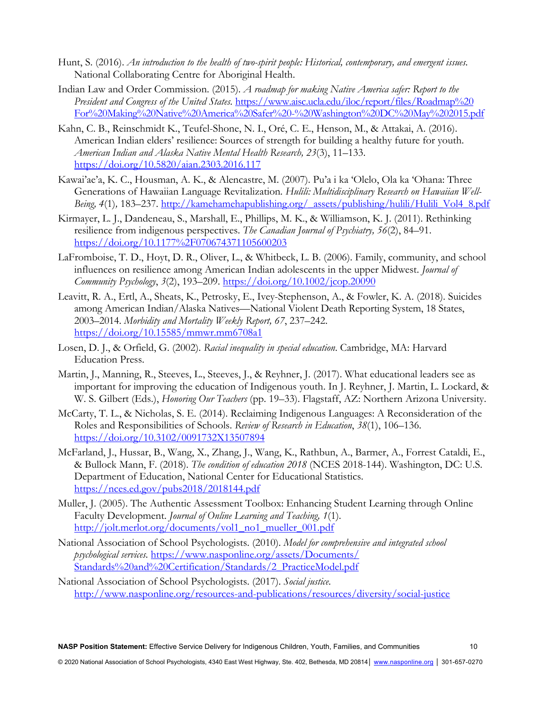- Hunt, S. (2016). *An introduction to the health of two-spirit people: Historical, contemporary, and emergent issues.* National Collaborating Centre for Aboriginal Health.
- Indian Law and Order Commission. (2015). *A roadmap for making Native America safer: Report to the President and Congress of the United States.* https://www.aisc.ucla.edu/iloc/report/files/Roadmap%20 For%20Making%20Native%20America%20Safer%20-%20Washington%20DC%20May%202015.pdf
- Kahn, C. B., Reinschmidt K., Teufel-Shone, N. I., Oré, C. E., Henson, M., & Attakai, A. (2016). American Indian elders' resilience: Sources of strength for building a healthy future for youth. *American Indian and Alaska Native Mental Health Research, 23*(3), 11–133. https://doi.org/10.5820/aian.2303.2016.117
- Kawai'ae'a, K. C., Housman, A. K., & Alencastre, M. (2007). Pu'a i ka 'Olelo, Ola ka 'Ohana: Three Generations of Hawaiian Language Revitalization*. Hulili: Multidisciplinary Research on Hawaiian Well-*Being, 4(1), 183–237. http://kamehamehapublishing.org/\_assets/publishing/hulili/Hulili\_Vol4\_8.pdf
- Kirmayer, L. J., Dandeneau, S., Marshall, E., Phillips, M. K., & Williamson, K. J. (2011). Rethinking resilience from indigenous perspectives. *The Canadian Journal of Psychiatry, 56*(2), 84–91. https://doi.org/10.1177%2F070674371105600203
- LaFromboise, T. D., Hoyt, D. R., Oliver, L., & Whitbeck, L. B. (2006). Family, community, and school influences on resilience among American Indian adolescents in the upper Midwest. *Journal of Community Psychology*, *3*(2), 193–209. https://doi.org/10.1002/jcop.20090
- Leavitt, R. A., Ertl, A., Sheats, K., Petrosky, E., Ivey-Stephenson, A., & Fowler, K. A. (2018). Suicides among American Indian/Alaska Natives—National Violent Death Reporting System, 18 States, 2003–2014. *Morbidity and Mortality Weekly Report, 67*, 237–242. https://doi.org/10.15585/mmwr.mm6708a1
- Losen, D. J., & Orfield, G. (2002). *Racial inequality in special education*. Cambridge, MA: Harvard Education Press.
- Martin, J., Manning, R., Steeves, L., Steeves, J., & Reyhner, J. (2017). What educational leaders see as important for improving the education of Indigenous youth. In J. Reyhner, J. Martin, L. Lockard, & W. S. Gilbert (Eds.), *Honoring Our Teachers* (pp. 19–33). Flagstaff, AZ: Northern Arizona University.
- McCarty, T. L., & Nicholas, S. E. (2014). Reclaiming Indigenous Languages: A Reconsideration of the Roles and Responsibilities of Schools. *Review of Research in Education*, *38*(1), 106–136. https://doi.org/10.3102/0091732X13507894
- McFarland, J., Hussar, B., Wang, X., Zhang, J., Wang, K., Rathbun, A., Barmer, A., Forrest Cataldi, E., & Bullock Mann, F. (2018). *The condition of education 2018* (NCES 2018-144). Washington, DC: U.S. Department of Education, National Center for Educational Statistics. https://nces.ed.gov/pubs2018/2018144.pdf
- Muller, J. (2005). The Authentic Assessment Toolbox: Enhancing Student Learning through Online Faculty Development. *Journal of Online Learning and Teaching, 1*(1)*.*  http://jolt.merlot.org/documents/vol1\_no1\_mueller\_001.pdf
- National Association of School Psychologists. (2010). *Model for comprehensive and integrated school psychological services.* https://www.nasponline.org/assets/Documents/ Standards%20and%20Certification/Standards/2\_PracticeModel.pdf
- National Association of School Psychologists. (2017). *Social justice.* http://www.nasponline.org/resources-and-publications/resources/diversity/social-justice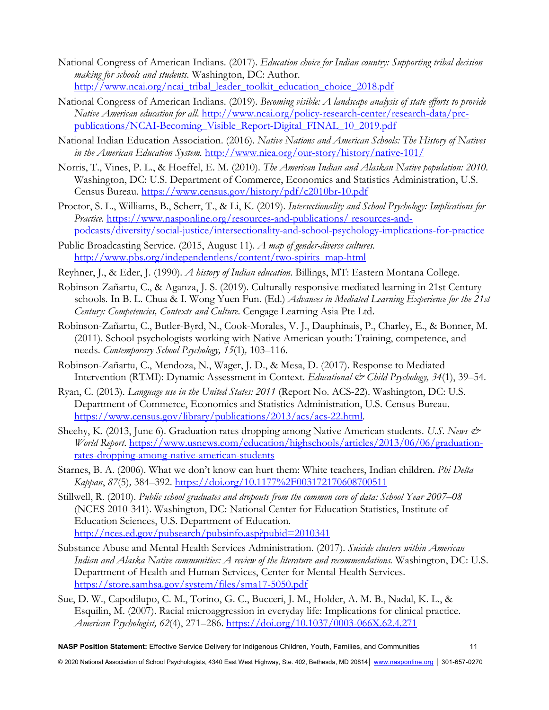- National Congress of American Indians. (2017). *Education choice for Indian country: Supporting tribal decision making for schools and students.* Washington, DC: Author. http://www.ncai.org/ncai\_tribal\_leader\_toolkit\_education\_choice\_2018.pdf
- National Congress of American Indians. (2019). *Becoming visible: A landscape analysis of state efforts to provide Native American education for all*. http://www.ncai.org/policy-research-center/research-data/prcpublications/NCAI-Becoming\_Visible\_Report-Digital\_FINAL\_10\_2019.pdf
- National Indian Education Association. (2016). *Native Nations and American Schools: The History of Natives in the American Education System.* http://www.niea.org/our-story/history/native-101/
- Norris, T., Vines, P. L., & Hoeffel, E. M. (2010). *The American Indian and Alaskan Native population: 2010.*  Washington, DC: U.S. Department of Commerce, Economics and Statistics Administration, U.S. Census Bureau. https://www.census.gov/history/pdf/c2010br-10.pdf
- Proctor, S. L., Williams, B., Scherr, T., & Li, K. (2019). *Intersectionality and School Psychology: Implications for Practice.* https://www.nasponline.org/resources-and-publications/ resources-andpodcasts/diversity/social-justice/intersectionality-and-school-psychology-implications-for-practice
- Public Broadcasting Service. (2015, August 11). *A map of gender-diverse cultures.*  http://www.pbs.org/independentlens/content/two-spirits\_map-html
- Reyhner, J., & Eder, J. (1990). *A history of Indian education*. Billings, MT: Eastern Montana College.
- Robinson-Zañartu, C., & Aganza, J. S. (2019). Culturally responsive mediated learning in 21st Century schools*.* In B. L. Chua & I. Wong Yuen Fun. (Ed.) *Advances in Mediated Learning Experience for the 21st Century: Competencies, Contexts and Culture*. Cengage Learning Asia Pte Ltd.
- Robinson-Zañartu, C., Butler-Byrd, N., Cook-Morales, V. J., Dauphinais, P., Charley, E., & Bonner, M. (2011). School psychologists working with Native American youth: Training, competence, and needs. *Contemporary School Psychology, 15*(1)*,* 103–116.
- Robinson-Zañartu, C., Mendoza, N., Wager, J. D., & Mesa, D. (2017). Response to Mediated Intervention (RTMI): Dynamic Assessment in Context. *Educational & Child Psychology, 34*(1), 39–54.
- Ryan, C. (2013). *Language use in the United States: 2011* (Report No. ACS-22). Washington, DC: U.S. Department of Commerce, Economics and Statistics Administration, U.S. Census Bureau. https://www.census.gov/library/publications/2013/acs/acs-22.html.
- Sheehy, K. (2013, June 6). Graduation rates dropping among Native American students*. U.S. News & World Report*. https://www.usnews.com/education/highschools/articles/2013/06/06/graduationrates-dropping-among-native-american-students
- Starnes, B. A. (2006). What we don't know can hurt them: White teachers, Indian children. *Phi Delta Kappan*, *87*(5)*,* 384–392. https://doi.org/10.1177%2F003172170608700511
- Stillwell, R. (2010). *Public school graduates and dropouts from the common core of data: School Year 2007–08*  (NCES 2010-341). Washington, DC: National Center for Education Statistics, Institute of Education Sciences, U.S. Department of Education. http://nces.ed.gov/pubsearch/pubsinfo.asp?pubid=2010341
- Substance Abuse and Mental Health Services Administration. (2017). *Suicide clusters within American Indian and Alaska Native communities: A review of the literature and recommendations.* Washington, DC: U.S. Department of Health and Human Services, Center for Mental Health Services. https://store.samhsa.gov/system/files/sma17-5050.pdf
- Sue, D. W., Capodilupo, C. M., Torino, G. C., Bucceri, J. M., Holder, A. M. B., Nadal, K. L., & Esquilin, M. (2007). Racial microaggression in everyday life: Implications for clinical practice. *American Psychologist, 62*(4), 271–286. https://doi.org/10.1037/0003-066X.62.4.271

**NASP Position Statement:** Effective Service Delivery for Indigenous Children, Youth, Families, and Communities 11

© 2020 National Association of School Psychologists, 4340 East West Highway, Ste. 402, Bethesda, MD 20814│ www.nasponline.org │ 301-657-0270